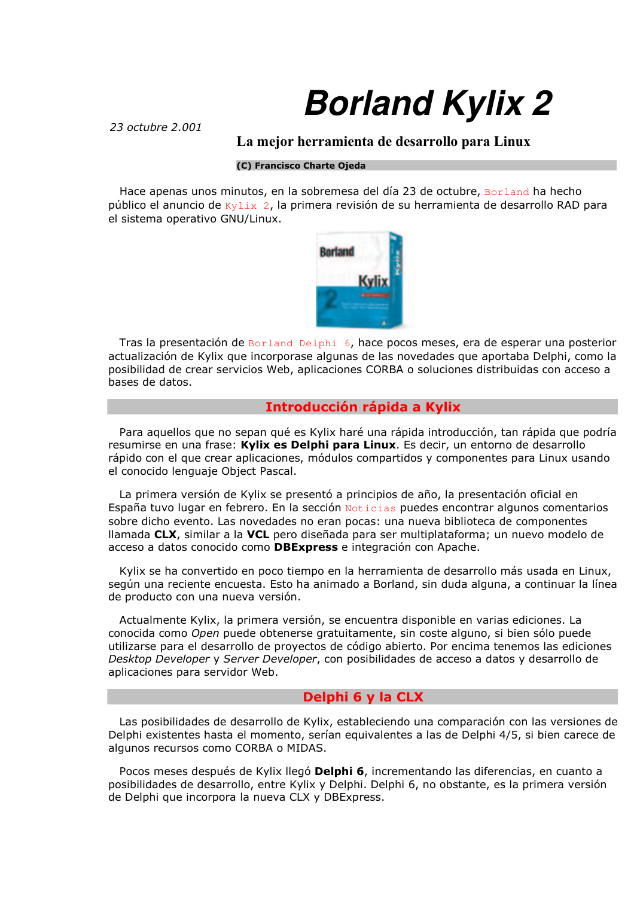# **Borland Kylix 2**

 $23$  octubre  $2,001$ 

## La mejor herramienta de desarrollo para Linux

#### (C) Francisco Charte Oieda

Hace apenas unos minutos, en la sobremesa del día 23 de octubre, Borland ha hecho público el anuncio de Kylix 2, la primera revisión de su herramienta de desarrollo RAD para el sistema operativo GNU/Linux.



Tras la presentación de Borland Delphi 6, hace pocos meses, era de esperar una posterior actualización de Kylix que incorporase algunas de las novedades que aportaba Delphi, como la posibilidad de crear servicios Web, aplicaciones CORBA o soluciones distribuidas con acceso a bases de datos.

# Introducción rápida a Kylix

Para aquellos que no sepan qué es Kylix haré una rápida introducción, tan rápida que podría resumirse en una frase: Kylix es Delphi para Linux. Es decir, un entorno de desarrollo rápido con el que crear aplicaciones, módulos compartidos y componentes para Linux usando el conocido lenguaje Object Pascal.

La primera versión de Kylix se presentó a principios de año, la presentación oficial en España tuvo lugar en febrero. En la sección Noticias puedes encontrar algunos comentarios sobre dicho evento. Las novedades no eran pocas: una nueva biblioteca de componentes llamada CLX, similar a la VCL pero diseñada para ser multiplataforma; un nuevo modelo de acceso a datos conocido como **DBExpress** e integración con Apache.

Kylix se ha convertido en poco tiempo en la herramienta de desarrollo más usada en Linux, según una reciente encuesta. Esto ha animado a Borland, sin duda alguna, a continuar la línea de producto con una nueva versión.

Actualmente Kylix, la primera versión, se encuentra disponible en varias ediciones. La conocida como Open puede obtenerse gratuitamente, sin coste alguno, si bien sólo puede utilizarse para el desarrollo de proyectos de código abierto. Por encima tenemos las ediciones Desktop Developer y Server Developer, con posibilidades de acceso a datos y desarrollo de aplicaciones para servidor Web.

#### Delphi 6 y la CLX

Las posibilidades de desarrollo de Kylix, estableciendo una comparación con las versiones de Delphi existentes hasta el momento, serían equivalentes a las de Delphi 4/5, si bien carece de algunos recursos como CORBA o MIDAS.

Pocos meses después de Kylix llegó Delphi 6, incrementando las diferencias, en cuanto a posibilidades de desarrollo, entre Kylix y Delphi. Delphi 6, no obstante, es la primera versión de Delphi que incorpora la nueva CLX y DBExpress.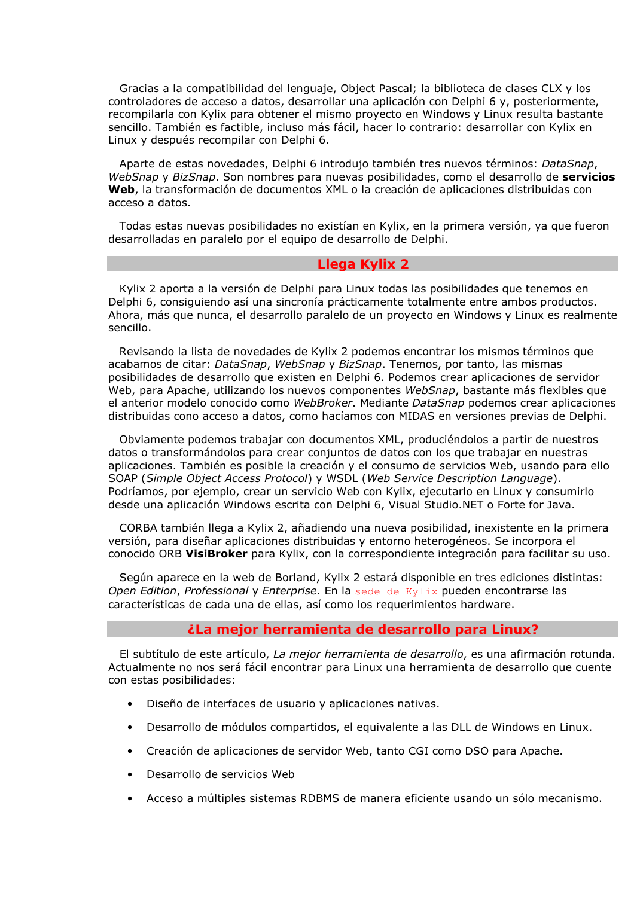Gracias a la compatibilidad del lenguaje, Object Pascal; la biblioteca de clases CLX y los controladores de acceso a datos, desarrollar una aplicación con Delphi 6 y, posteriormente, recompilarla con Kylix para obtener el mismo proyecto en Windows y Linux resulta bastante sencillo. También es factible, incluso más fácil, hacer lo contrario: desarrollar con Kylix en Linux y después recompilar con Delphi 6.

Aparte de estas novedades, Delphi 6 introdujo también tres nuevos términos: DataSnap, WebSnap y BizSnap. Son nombres para nuevas posibilidades, como el desarrollo de servicios Web, la transformación de documentos XML o la creación de aplicaciones distribuidas con acceso a datos.

Todas estas nuevas posibilidades no existían en Kylix, en la primera versión, ya que fueron desarrolladas en paralelo por el equipo de desarrollo de Delphi.

# **Llega Kylix 2**

Kylix 2 aporta a la versión de Delphi para Linux todas las posibilidades que tenemos en Delphi 6, consiguiendo así una sincronía prácticamente totalmente entre ambos productos. Ahora, más que nunca, el desarrollo paralelo de un proyecto en Windows y Linux es realmente sencillo.

Revisando la lista de novedades de Kylix 2 podemos encontrar los mismos términos que acabamos de citar: *DataSnap, WebSnap y BizSnap*. Tenemos, por tanto, las mismas posibilidades de desarrollo que existen en Delphi 6. Podemos crear aplicaciones de servidor Web, para Apache, utilizando los nuevos componentes WebSnap, bastante más flexibles que el anterior modelo conocido como WebBroker. Mediante DataSnap podemos crear aplicaciones distribuidas cono acceso a datos, como hacíamos con MIDAS en versiones previas de Delphi.

Obviamente podemos trabajar con documentos XML, produciéndolos a partir de nuestros datos o transformándolos para crear conjuntos de datos con los que trabajar en nuestras aplicaciones. También es posible la creación y el consumo de servicios Web, usando para ello SOAP (Simple Object Access Protocol) y WSDL (Web Service Description Language). Podríamos, por ejemplo, crear un servicio Web con Kylix, ejecutarlo en Linux y consumirlo desde una aplicación Windows escrita con Delphi 6, Visual Studio.NET o Forte for Java.

CORBA también llega a Kylix 2, añadiendo una nueva posibilidad, inexistente en la primera versión, para diseñar aplicaciones distribuidas y entorno heterogéneos. Se incorpora el conocido ORB VisiBroker para Kylix, con la correspondiente integración para facilitar su uso.

Según aparece en la web de Borland, Kylix 2 estará disponible en tres ediciones distintas: Open Edition, Professional y Enterprise. En la sede de Kylix pueden encontrarse las características de cada una de ellas, así como los requerimientos hardware.

### *¿La mejor herramienta de desarrollo para Linux?*

El subtítulo de este artículo, La mejor herramienta de desarrollo, es una afirmación rotunda. Actualmente no nos será fácil encontrar para Linux una herramienta de desarrollo que cuente con estas posibilidades:

- Diseño de interfaces de usuario y aplicaciones nativas.
- · Desarrollo de módulos compartidos, el equivalente a las DLL de Windows en Linux.
- Creación de aplicaciones de servidor Web, tanto CGI como DSO para Apache.
- Desarrollo de servicios Web
- Acceso a múltiples sistemas RDBMS de manera eficiente usando un sólo mecanismo.